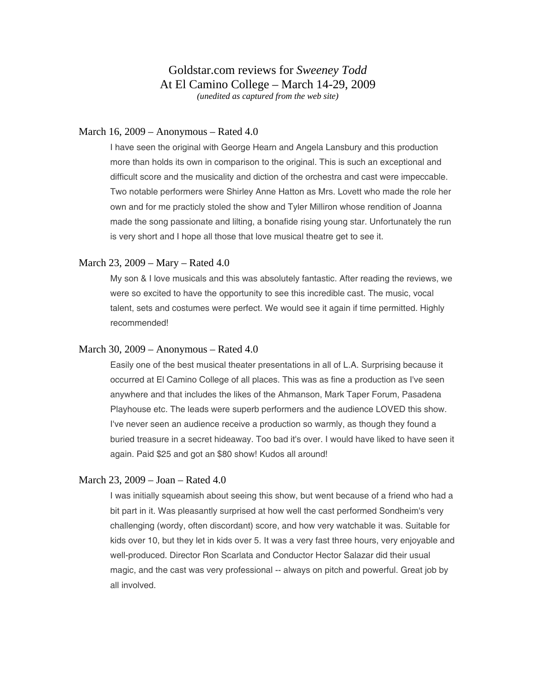### March 16, 2009 – Anonymous – Rated 4.0

I have seen the original with George Hearn and Angela Lansbury and this production more than holds its own in comparison to the original. This is such an exceptional and difficult score and the musicality and diction of the orchestra and cast were impeccable. Two notable performers were Shirley Anne Hatton as Mrs. Lovett who made the role her own and for me practicly stoled the show and Tyler Milliron whose rendition of Joanna made the song passionate and lilting, a bonafide rising young star. Unfortunately the run is very short and I hope all those that love musical theatre get to see it.

### March 23, 2009 – Mary – Rated 4.0

My son & I love musicals and this was absolutely fantastic. After reading the reviews, we were so excited to have the opportunity to see this incredible cast. The music, vocal talent, sets and costumes were perfect. We would see it again if time permitted. Highly recommended!

#### March 30, 2009 – Anonymous – Rated 4.0

Easily one of the best musical theater presentations in all of L.A. Surprising because it occurred at El Camino College of all places. This was as fine a production as I've seen anywhere and that includes the likes of the Ahmanson, Mark Taper Forum, Pasadena Playhouse etc. The leads were superb performers and the audience LOVED this show. I've never seen an audience receive a production so warmly, as though they found a buried treasure in a secret hideaway. Too bad it's over. I would have liked to have seen it again. Paid \$25 and got an \$80 show! Kudos all around!

### March 23, 2009 – Joan – Rated 4.0

I was initially squeamish about seeing this show, but went because of a friend who had a bit part in it. Was pleasantly surprised at how well the cast performed Sondheim's very challenging (wordy, often discordant) score, and how very watchable it was. Suitable for kids over 10, but they let in kids over 5. It was a very fast three hours, very enjoyable and well-produced. Director Ron Scarlata and Conductor Hector Salazar did their usual magic, and the cast was very professional -- always on pitch and powerful. Great job by all involved.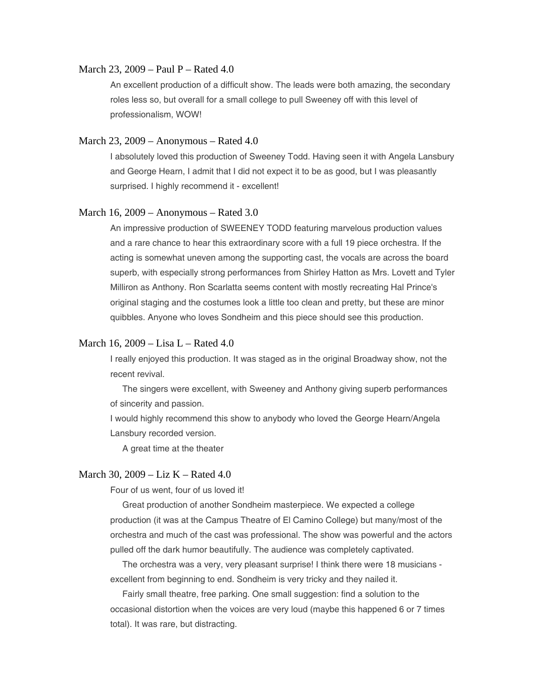### March 23, 2009 – Paul P – Rated 4.0

An excellent production of a difficult show. The leads were both amazing, the secondary roles less so, but overall for a small college to pull Sweeney off with this level of professionalism, WOW!

#### March 23, 2009 – Anonymous – Rated 4.0

I absolutely loved this production of Sweeney Todd. Having seen it with Angela Lansbury and George Hearn, I admit that I did not expect it to be as good, but I was pleasantly surprised. I highly recommend it - excellent!

### March 16, 2009 – Anonymous – Rated 3.0

An impressive production of SWEENEY TODD featuring marvelous production values and a rare chance to hear this extraordinary score with a full 19 piece orchestra. If the acting is somewhat uneven among the supporting cast, the vocals are across the board superb, with especially strong performances from Shirley Hatton as Mrs. Lovett and Tyler Milliron as Anthony. Ron Scarlatta seems content with mostly recreating Hal Prince's original staging and the costumes look a little too clean and pretty, but these are minor quibbles. Anyone who loves Sondheim and this piece should see this production.

### March 16, 2009 – Lisa L – Rated 4.0

I really enjoyed this production. It was staged as in the original Broadway show, not the recent revival.

 The singers were excellent, with Sweeney and Anthony giving superb performances of sincerity and passion.

I would highly recommend this show to anybody who loved the George Hearn/Angela Lansbury recorded version.

A great time at the theater

# March 30, 2009 – Liz K – Rated 4.0

Four of us went, four of us loved it!

 Great production of another Sondheim masterpiece. We expected a college production (it was at the Campus Theatre of El Camino College) but many/most of the orchestra and much of the cast was professional. The show was powerful and the actors pulled off the dark humor beautifully. The audience was completely captivated.

 The orchestra was a very, very pleasant surprise! I think there were 18 musicians excellent from beginning to end. Sondheim is very tricky and they nailed it.

 Fairly small theatre, free parking. One small suggestion: find a solution to the occasional distortion when the voices are very loud (maybe this happened 6 or 7 times total). It was rare, but distracting.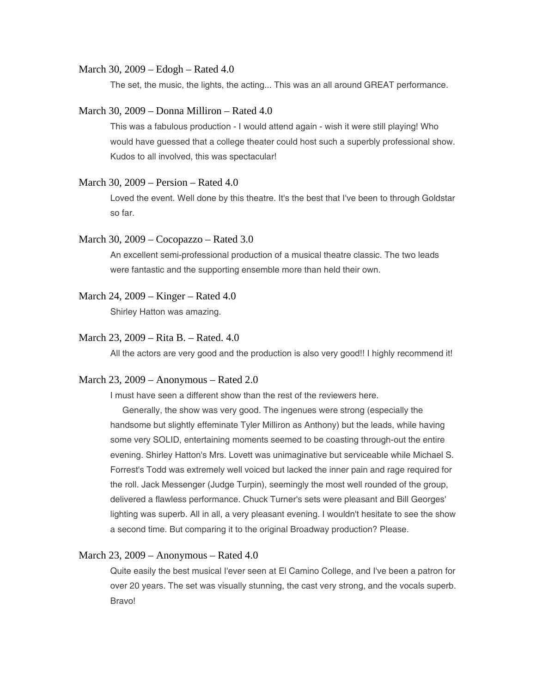#### March 30, 2009 – Edogh – Rated 4.0

The set, the music, the lights, the acting... This was an all around GREAT performance.

### March 30, 2009 – Donna Milliron – Rated 4.0

This was a fabulous production - I would attend again - wish it were still playing! Who would have guessed that a college theater could host such a superbly professional show. Kudos to all involved, this was spectacular!

## March 30, 2009 – Persion – Rated 4.0

Loved the event. Well done by this theatre. It's the best that I've been to through Goldstar so far.

#### March 30, 2009 – Cocopazzo – Rated 3.0

An excellent semi-professional production of a musical theatre classic. The two leads were fantastic and the supporting ensemble more than held their own.

## March 24, 2009 – Kinger – Rated 4.0

Shirley Hatton was amazing.

# March 23, 2009 – Rita B. – Rated. 4.0

All the actors are very good and the production is also very good!! I highly recommend it!

# March 23, 2009 – Anonymous – Rated 2.0

I must have seen a different show than the rest of the reviewers here.

 Generally, the show was very good. The ingenues were strong (especially the handsome but slightly effeminate Tyler Milliron as Anthony) but the leads, while having some very SOLID, entertaining moments seemed to be coasting through-out the entire evening. Shirley Hatton's Mrs. Lovett was unimaginative but serviceable while Michael S. Forrest's Todd was extremely well voiced but lacked the inner pain and rage required for the roll. Jack Messenger (Judge Turpin), seemingly the most well rounded of the group, delivered a flawless performance. Chuck Turner's sets were pleasant and Bill Georges' lighting was superb. All in all, a very pleasant evening. I wouldn't hesitate to see the show a second time. But comparing it to the original Broadway production? Please.

### March 23, 2009 – Anonymous – Rated 4.0

Quite easily the best musical I'ever seen at El Camino College, and I've been a patron for over 20 years. The set was visually stunning, the cast very strong, and the vocals superb. Bravo!